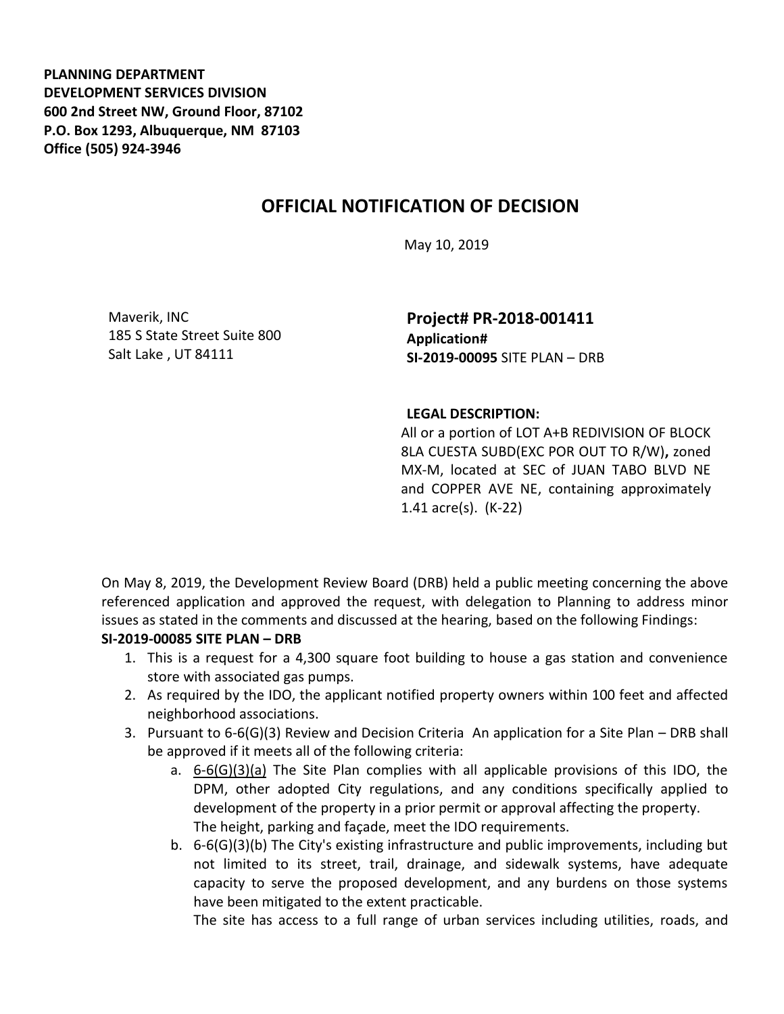**PLANNING DEPARTMENT DEVELOPMENT SERVICES DIVISION 600 2nd Street NW, Ground Floor, 87102 P.O. Box 1293, Albuquerque, NM 87103 Office (505) 924-3946** 

## **OFFICIAL NOTIFICATION OF DECISION**

May 10, 2019

Maverik, INC 185 S State Street Suite 800 Salt Lake , UT 84111

**Project# PR-2018-001411 Application# SI-2019-00095** SITE PLAN – DRB

## **LEGAL DESCRIPTION:**

All or a portion of LOT A+B REDIVISION OF BLOCK 8LA CUESTA SUBD(EXC POR OUT TO R/W)**,** zoned MX-M, located at SEC of JUAN TABO BLVD NE and COPPER AVE NE, containing approximately 1.41 acre(s). (K-22)

On May 8, 2019, the Development Review Board (DRB) held a public meeting concerning the above referenced application and approved the request, with delegation to Planning to address minor issues as stated in the comments and discussed at the hearing, based on the following Findings:

## **SI-2019-00085 SITE PLAN – DRB**

- 1. This is a request for a 4,300 square foot building to house a gas station and convenience store with associated gas pumps.
- 2. As required by the IDO, the applicant notified property owners within 100 feet and affected neighborhood associations.
- 3. Pursuant to 6-6(G)(3) Review and Decision Criteria An application for a Site Plan DRB shall be approved if it meets all of the following criteria:
	- a. 6-6(G)(3)(a) The Site Plan complies with all applicable provisions of this IDO, the DPM, other adopted City regulations, and any conditions specifically applied to development of the property in a prior permit or approval affecting the property. The height, parking and façade, meet the IDO requirements.
	- b. 6-6(G)(3)(b) The City's existing infrastructure and public improvements, including but not limited to its street, trail, drainage, and sidewalk systems, have adequate capacity to serve the proposed development, and any burdens on those systems have been mitigated to the extent practicable.

The site has access to a full range of urban services including utilities, roads, and